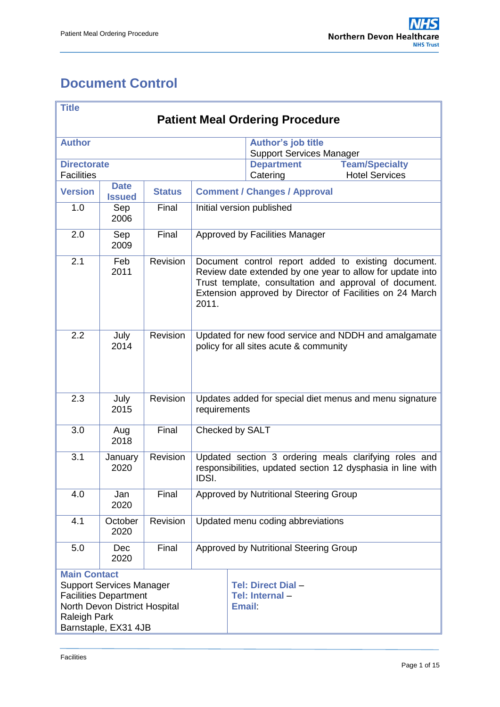# <span id="page-0-0"></span>**Document Control**

| <b>Title</b>                                                                                                                                                           |                              |               |                                                                                                                                                                                                                                                 |                                                              |                                                              |  |  |  |  |
|------------------------------------------------------------------------------------------------------------------------------------------------------------------------|------------------------------|---------------|-------------------------------------------------------------------------------------------------------------------------------------------------------------------------------------------------------------------------------------------------|--------------------------------------------------------------|--------------------------------------------------------------|--|--|--|--|
| <b>Patient Meal Ordering Procedure</b>                                                                                                                                 |                              |               |                                                                                                                                                                                                                                                 |                                                              |                                                              |  |  |  |  |
| <b>Author</b>                                                                                                                                                          |                              |               |                                                                                                                                                                                                                                                 | <b>Author's job title</b><br><b>Support Services Manager</b> |                                                              |  |  |  |  |
| <b>Directorate</b><br><b>Facilities</b>                                                                                                                                |                              |               |                                                                                                                                                                                                                                                 | <b>Department</b><br>Catering                                | <b>Team/Specialty</b><br><b>Hotel Services</b>               |  |  |  |  |
| <b>Version</b>                                                                                                                                                         | <b>Date</b><br><b>Issued</b> | <b>Status</b> | <b>Comment / Changes / Approval</b>                                                                                                                                                                                                             |                                                              |                                                              |  |  |  |  |
| 1.0                                                                                                                                                                    | Sep<br>2006                  | Final         | Initial version published                                                                                                                                                                                                                       |                                                              |                                                              |  |  |  |  |
| 2.0                                                                                                                                                                    | Sep<br>2009                  | Final         | Approved by Facilities Manager                                                                                                                                                                                                                  |                                                              |                                                              |  |  |  |  |
| 2.1                                                                                                                                                                    | Feb<br>2011                  | Revision      | Document control report added to existing document.<br>Review date extended by one year to allow for update into<br>Trust template, consultation and approval of document.<br>Extension approved by Director of Facilities on 24 March<br>2011. |                                                              |                                                              |  |  |  |  |
| 2.2                                                                                                                                                                    | July<br>2014                 | Revision      | Updated for new food service and NDDH and amalgamate<br>policy for all sites acute & community                                                                                                                                                  |                                                              |                                                              |  |  |  |  |
| 2.3                                                                                                                                                                    | July<br>2015                 | Revision      | Updates added for special diet menus and menu signature<br>requirements                                                                                                                                                                         |                                                              |                                                              |  |  |  |  |
| 3.0                                                                                                                                                                    | Aug<br>2018                  | Final         | Checked by SALT                                                                                                                                                                                                                                 |                                                              |                                                              |  |  |  |  |
| 3.1                                                                                                                                                                    | January<br>2020              | Revision      | Updated section 3 ordering meals clarifying roles and<br>responsibilities, updated section 12 dysphasia in line with<br>IDSI.                                                                                                                   |                                                              |                                                              |  |  |  |  |
| 4.0                                                                                                                                                                    | Jan<br>2020                  | Final         | Approved by Nutritional Steering Group                                                                                                                                                                                                          |                                                              |                                                              |  |  |  |  |
| 4.1                                                                                                                                                                    | October<br>2020              | Revision      | Updated menu coding abbreviations                                                                                                                                                                                                               |                                                              |                                                              |  |  |  |  |
| 5.0                                                                                                                                                                    | <b>Dec</b><br>2020           | Final         | Approved by Nutritional Steering Group                                                                                                                                                                                                          |                                                              |                                                              |  |  |  |  |
| <b>Main Contact</b><br><b>Support Services Manager</b><br><b>Facilities Department</b><br>North Devon District Hospital<br><b>Raleigh Park</b><br>Barnstaple, EX31 4JB |                              |               |                                                                                                                                                                                                                                                 |                                                              | <b>Tel: Direct Dial -</b><br>Tel: Internal-<br><b>Email:</b> |  |  |  |  |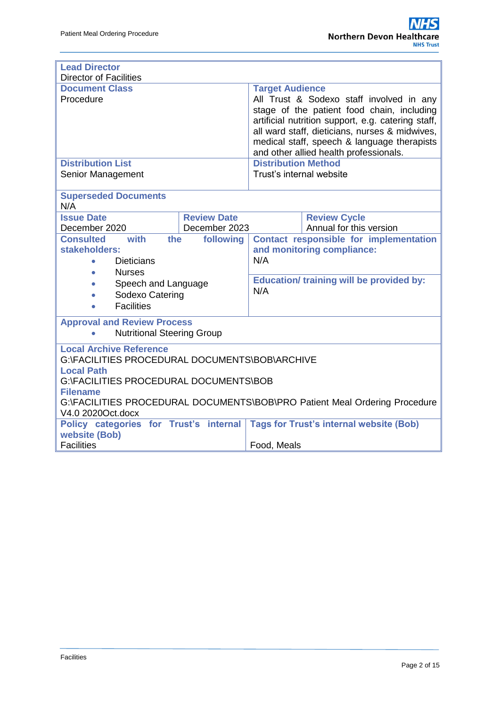| <b>Lead Director</b><br><b>Director of Facilities</b>                                                                                                                                                                                                                 |                                     |                                                                                                                                                                                                                                                                                                                   |                                                |  |  |  |  |
|-----------------------------------------------------------------------------------------------------------------------------------------------------------------------------------------------------------------------------------------------------------------------|-------------------------------------|-------------------------------------------------------------------------------------------------------------------------------------------------------------------------------------------------------------------------------------------------------------------------------------------------------------------|------------------------------------------------|--|--|--|--|
| <b>Document Class</b><br>Procedure                                                                                                                                                                                                                                    |                                     | <b>Target Audience</b><br>All Trust & Sodexo staff involved in any<br>stage of the patient food chain, including<br>artificial nutrition support, e.g. catering staff,<br>all ward staff, dieticians, nurses & midwives,<br>medical staff, speech & language therapists<br>and other allied health professionals. |                                                |  |  |  |  |
| <b>Distribution List</b><br>Senior Management                                                                                                                                                                                                                         |                                     | <b>Distribution Method</b><br>Trust's internal website                                                                                                                                                                                                                                                            |                                                |  |  |  |  |
| <b>Superseded Documents</b><br>N/A                                                                                                                                                                                                                                    |                                     |                                                                                                                                                                                                                                                                                                                   |                                                |  |  |  |  |
| <b>Issue Date</b><br>December 2020                                                                                                                                                                                                                                    | <b>Review Date</b><br>December 2023 |                                                                                                                                                                                                                                                                                                                   | <b>Review Cycle</b><br>Annual for this version |  |  |  |  |
| with<br><b>Consulted</b><br>the<br>stakeholders:<br><b>Dieticians</b>                                                                                                                                                                                                 | following                           | Contact responsible for implementation<br>and monitoring compliance:<br>N/A                                                                                                                                                                                                                                       |                                                |  |  |  |  |
| <b>Nurses</b><br>$\bullet$<br>Speech and Language<br>$\bullet$<br>Sodexo Catering<br>$\bullet$<br><b>Facilities</b><br>$\bullet$                                                                                                                                      |                                     | <b>Education/ training will be provided by:</b><br>N/A                                                                                                                                                                                                                                                            |                                                |  |  |  |  |
| <b>Approval and Review Process</b><br><b>Nutritional Steering Group</b><br>$\bullet$                                                                                                                                                                                  |                                     |                                                                                                                                                                                                                                                                                                                   |                                                |  |  |  |  |
| <b>Local Archive Reference</b><br>G:\FACILITIES PROCEDURAL DOCUMENTS\BOB\ARCHIVE<br><b>Local Path</b><br>G:\FACILITIES PROCEDURAL DOCUMENTS\BOB<br><b>Filename</b><br>G:\FACILITIES PROCEDURAL DOCUMENTS\BOB\PRO Patient Meal Ordering Procedure<br>V4.0 2020Oct.docx |                                     |                                                                                                                                                                                                                                                                                                                   |                                                |  |  |  |  |
| Policy categories for Trust's internal<br>website (Bob)                                                                                                                                                                                                               |                                     | <b>Tags for Trust's internal website (Bob)</b>                                                                                                                                                                                                                                                                    |                                                |  |  |  |  |
| <b>Facilities</b>                                                                                                                                                                                                                                                     |                                     | Food, Meals                                                                                                                                                                                                                                                                                                       |                                                |  |  |  |  |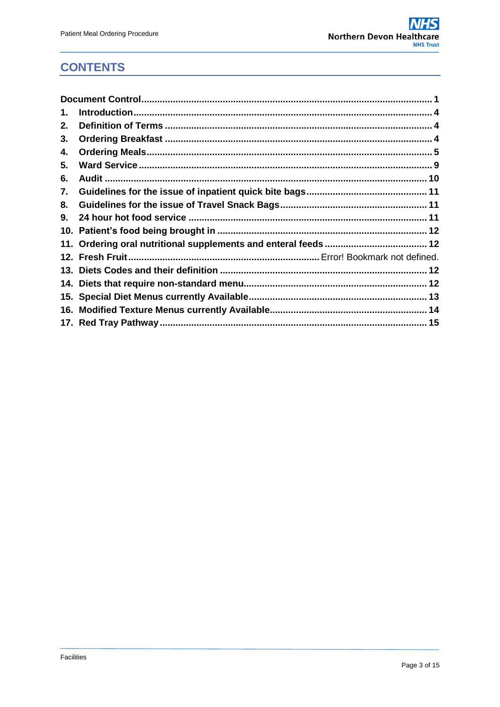#### **CONTENTS**

| 1. |  |
|----|--|
| 2. |  |
| 3. |  |
| 4. |  |
| 5. |  |
| 6. |  |
| 7. |  |
| 8. |  |
| 9. |  |
|    |  |
|    |  |
|    |  |
|    |  |
|    |  |
|    |  |
|    |  |
|    |  |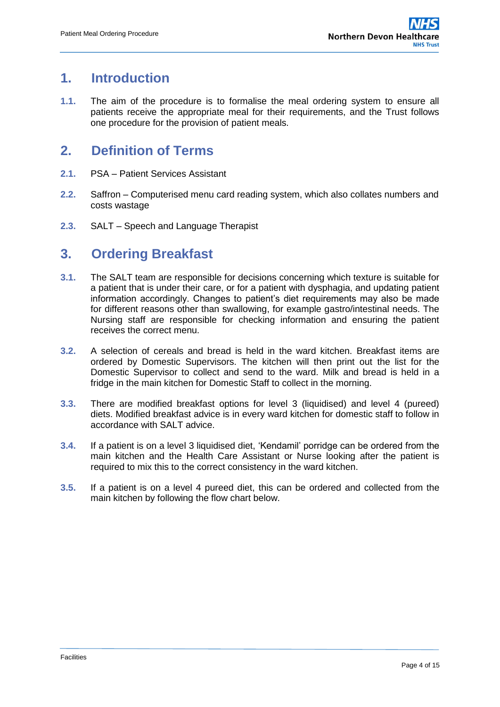#### <span id="page-3-0"></span>**1. Introduction**

**1.1.** The aim of the procedure is to formalise the meal ordering system to ensure all patients receive the appropriate meal for their requirements, and the Trust follows one procedure for the provision of patient meals.

#### <span id="page-3-1"></span>**2. Definition of Terms**

- **2.1.** PSA Patient Services Assistant
- **2.2.** Saffron Computerised menu card reading system, which also collates numbers and costs wastage
- **2.3.** SALT Speech and Language Therapist

#### <span id="page-3-2"></span>**3. Ordering Breakfast**

- **3.1.** The SALT team are responsible for decisions concerning which texture is suitable for a patient that is under their care, or for a patient with dysphagia, and updating patient information accordingly. Changes to patient's diet requirements may also be made for different reasons other than swallowing, for example gastro/intestinal needs. The Nursing staff are responsible for checking information and ensuring the patient receives the correct menu.
- **3.2.** A selection of cereals and bread is held in the ward kitchen. Breakfast items are ordered by Domestic Supervisors. The kitchen will then print out the list for the Domestic Supervisor to collect and send to the ward. Milk and bread is held in a fridge in the main kitchen for Domestic Staff to collect in the morning.
- **3.3.** There are modified breakfast options for level 3 (liquidised) and level 4 (pureed) diets. Modified breakfast advice is in every ward kitchen for domestic staff to follow in accordance with SALT advice.
- **3.4.** If a patient is on a level 3 liquidised diet, 'Kendamil' porridge can be ordered from the main kitchen and the Health Care Assistant or Nurse looking after the patient is required to mix this to the correct consistency in the ward kitchen.
- **3.5.** If a patient is on a level 4 pureed diet, this can be ordered and collected from the main kitchen by following the flow chart below.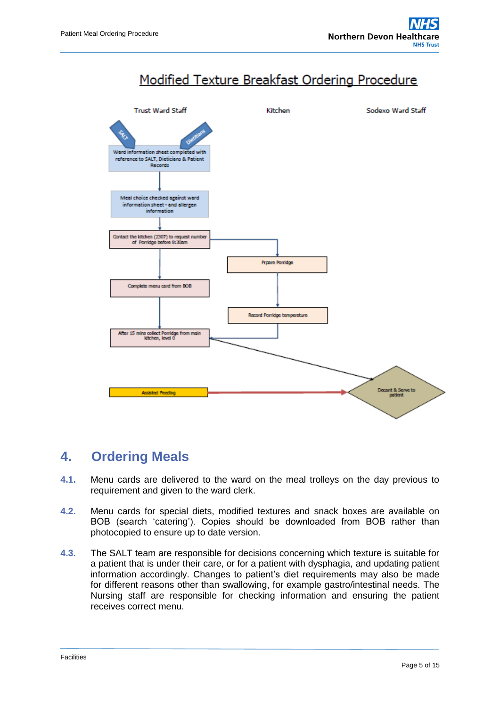# Modified Texture Breakfast Ordering Procedure



#### <span id="page-4-0"></span>**4. Ordering Meals**

- **4.1.** Menu cards are delivered to the ward on the meal trolleys on the day previous to requirement and given to the ward clerk.
- **4.2.** Menu cards for special diets, modified textures and snack boxes are available on BOB (search 'catering'). Copies should be downloaded from BOB rather than photocopied to ensure up to date version.
- **4.3.** The SALT team are responsible for decisions concerning which texture is suitable for a patient that is under their care, or for a patient with dysphagia, and updating patient information accordingly. Changes to patient's diet requirements may also be made for different reasons other than swallowing, for example gastro/intestinal needs. The Nursing staff are responsible for checking information and ensuring the patient receives correct menu.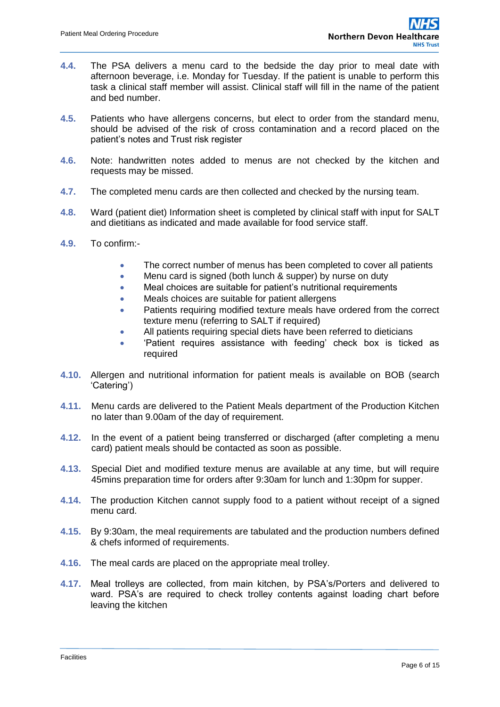- **4.4.** The PSA delivers a menu card to the bedside the day prior to meal date with afternoon beverage, i.e. Monday for Tuesday. If the patient is unable to perform this task a clinical staff member will assist. Clinical staff will fill in the name of the patient and bed number.
- **4.5.** Patients who have allergens concerns, but elect to order from the standard menu, should be advised of the risk of cross contamination and a record placed on the patient's notes and Trust risk register
- **4.6.** Note: handwritten notes added to menus are not checked by the kitchen and requests may be missed.
- **4.7.** The completed menu cards are then collected and checked by the nursing team.
- **4.8.** Ward (patient diet) Information sheet is completed by clinical staff with input for SALT and dietitians as indicated and made available for food service staff.
- **4.9.** To confirm:-
	- The correct number of menus has been completed to cover all patients
	- Menu card is signed (both lunch & supper) by nurse on duty
	- Meal choices are suitable for patient's nutritional requirements
	- Meals choices are suitable for patient allergens
	- Patients requiring modified texture meals have ordered from the correct texture menu (referring to SALT if required)
	- All patients requiring special diets have been referred to dieticians
	- 'Patient requires assistance with feeding' check box is ticked as required
- **4.10.** Allergen and nutritional information for patient meals is available on BOB (search 'Catering')
- **4.11.** Menu cards are delivered to the Patient Meals department of the Production Kitchen no later than 9.00am of the day of requirement.
- **4.12.** In the event of a patient being transferred or discharged (after completing a menu card) patient meals should be contacted as soon as possible.
- **4.13.** Special Diet and modified texture menus are available at any time, but will require 45mins preparation time for orders after 9:30am for lunch and 1:30pm for supper.
- **4.14.** The production Kitchen cannot supply food to a patient without receipt of a signed menu card.
- **4.15.** By 9:30am, the meal requirements are tabulated and the production numbers defined & chefs informed of requirements.
- **4.16.** The meal cards are placed on the appropriate meal trolley.
- **4.17.** Meal trolleys are collected, from main kitchen, by PSA's/Porters and delivered to ward. PSA's are required to check trolley contents against loading chart before leaving the kitchen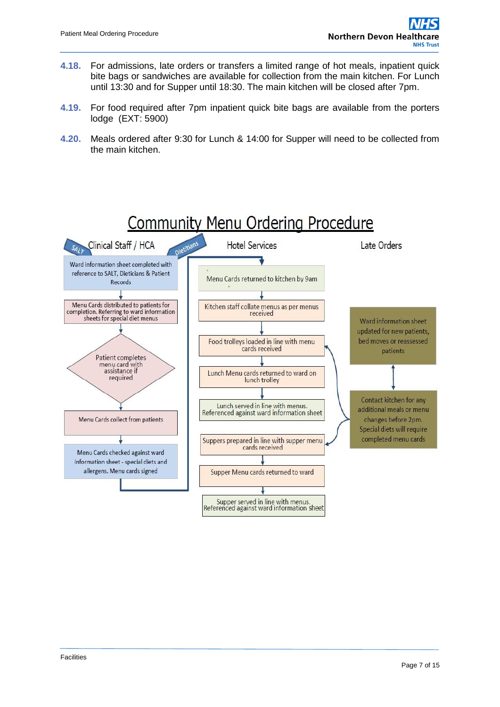- **4.18.** For admissions, late orders or transfers a limited range of hot meals, inpatient quick bite bags or sandwiches are available for collection from the main kitchen. For Lunch until 13:30 and for Supper until 18:30. The main kitchen will be closed after 7pm.
- **4.19.** For food required after 7pm inpatient quick bite bags are available from the porters lodge (EXT: 5900)
- **4.20.** Meals ordered after 9:30 for Lunch & 14:00 for Supper will need to be collected from the main kitchen.

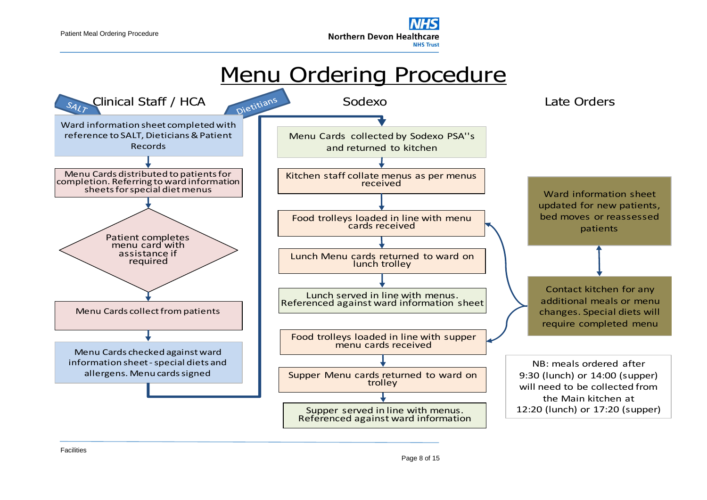

# Menu Ordering Procedure

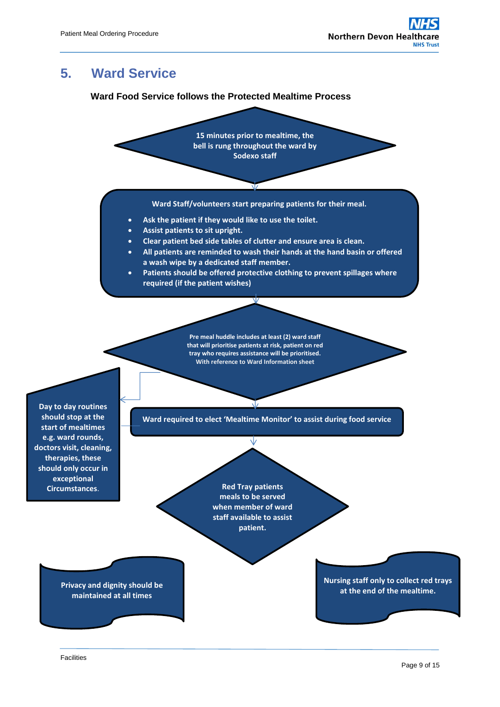# <span id="page-8-0"></span>**5. Ward Service**

#### **Ward Food Service follows the Protected Mealtime Process**



**maintained at all times**

**Nursing staff only to collect red trays at the end of the mealtime. Privacy and dignity should be**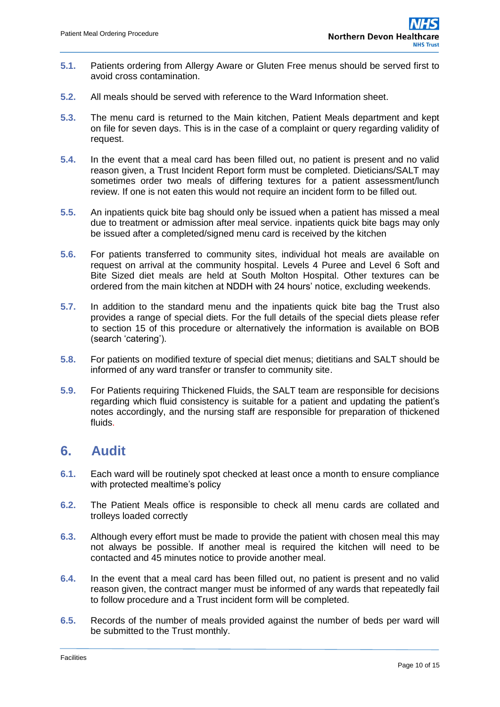- **5.1.** Patients ordering from Allergy Aware or Gluten Free menus should be served first to avoid cross contamination.
- **5.2.** All meals should be served with reference to the Ward Information sheet.
- **5.3.** The menu card is returned to the Main kitchen, Patient Meals department and kept on file for seven days. This is in the case of a complaint or query regarding validity of request.
- **5.4.** In the event that a meal card has been filled out, no patient is present and no valid reason given, a Trust Incident Report form must be completed. Dieticians/SALT may sometimes order two meals of differing textures for a patient assessment/lunch review. If one is not eaten this would not require an incident form to be filled out.
- **5.5.** An inpatients quick bite bag should only be issued when a patient has missed a meal due to treatment or admission after meal service. inpatients quick bite bags may only be issued after a completed/signed menu card is received by the kitchen
- **5.6.** For patients transferred to community sites, individual hot meals are available on request on arrival at the community hospital. Levels 4 Puree and Level 6 Soft and Bite Sized diet meals are held at South Molton Hospital. Other textures can be ordered from the main kitchen at NDDH with 24 hours' notice, excluding weekends.
- **5.7.** In addition to the standard menu and the inpatients quick bite bag the Trust also provides a range of special diets. For the full details of the special diets please refer to section 15 of this procedure or alternatively the information is available on BOB (search 'catering').
- **5.8.** For patients on modified texture of special diet menus; dietitians and SALT should be informed of any ward transfer or transfer to community site.
- **5.9.** For Patients requiring Thickened Fluids, the SALT team are responsible for decisions regarding which fluid consistency is suitable for a patient and updating the patient's notes accordingly, and the nursing staff are responsible for preparation of thickened fluids.

#### <span id="page-9-0"></span>**6. Audit**

- **6.1.** Each ward will be routinely spot checked at least once a month to ensure compliance with protected mealtime's policy
- **6.2.** The Patient Meals office is responsible to check all menu cards are collated and trolleys loaded correctly
- **6.3.** Although every effort must be made to provide the patient with chosen meal this may not always be possible. If another meal is required the kitchen will need to be contacted and 45 minutes notice to provide another meal.
- **6.4.** In the event that a meal card has been filled out, no patient is present and no valid reason given, the contract manger must be informed of any wards that repeatedly fail to follow procedure and a Trust incident form will be completed.
- **6.5.** Records of the number of meals provided against the number of beds per ward will be submitted to the Trust monthly.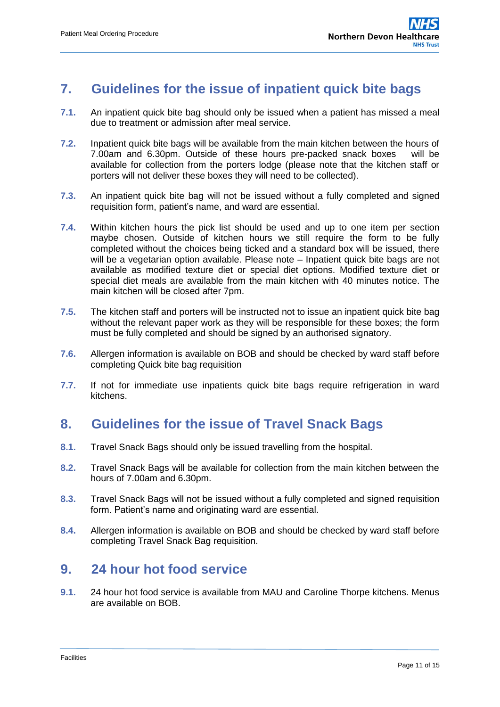#### <span id="page-10-0"></span>**7. Guidelines for the issue of inpatient quick bite bags**

- **7.1.** An inpatient quick bite bag should only be issued when a patient has missed a meal due to treatment or admission after meal service.
- **7.2.** Inpatient quick bite bags will be available from the main kitchen between the hours of 7.00am and 6.30pm. Outside of these hours pre-packed snack boxes will be available for collection from the porters lodge (please note that the kitchen staff or porters will not deliver these boxes they will need to be collected).
- **7.3.** An inpatient quick bite bag will not be issued without a fully completed and signed requisition form, patient's name, and ward are essential.
- **7.4.** Within kitchen hours the pick list should be used and up to one item per section maybe chosen. Outside of kitchen hours we still require the form to be fully completed without the choices being ticked and a standard box will be issued, there will be a vegetarian option available. Please note – Inpatient quick bite bags are not available as modified texture diet or special diet options. Modified texture diet or special diet meals are available from the main kitchen with 40 minutes notice. The main kitchen will be closed after 7pm.
- **7.5.** The kitchen staff and porters will be instructed not to issue an inpatient quick bite bag without the relevant paper work as they will be responsible for these boxes; the form must be fully completed and should be signed by an authorised signatory.
- **7.6.** Allergen information is available on BOB and should be checked by ward staff before completing Quick bite bag requisition
- **7.7.** If not for immediate use inpatients quick bite bags require refrigeration in ward kitchens.

### <span id="page-10-1"></span>**8. Guidelines for the issue of Travel Snack Bags**

- **8.1.** Travel Snack Bags should only be issued travelling from the hospital.
- **8.2.** Travel Snack Bags will be available for collection from the main kitchen between the hours of 7.00am and 6.30pm.
- **8.3.** Travel Snack Bags will not be issued without a fully completed and signed requisition form. Patient's name and originating ward are essential.
- **8.4.** Allergen information is available on BOB and should be checked by ward staff before completing Travel Snack Bag requisition.

#### <span id="page-10-2"></span>**9. 24 hour hot food service**

**9.1.** 24 hour hot food service is available from MAU and Caroline Thorpe kitchens. Menus are available on BOB.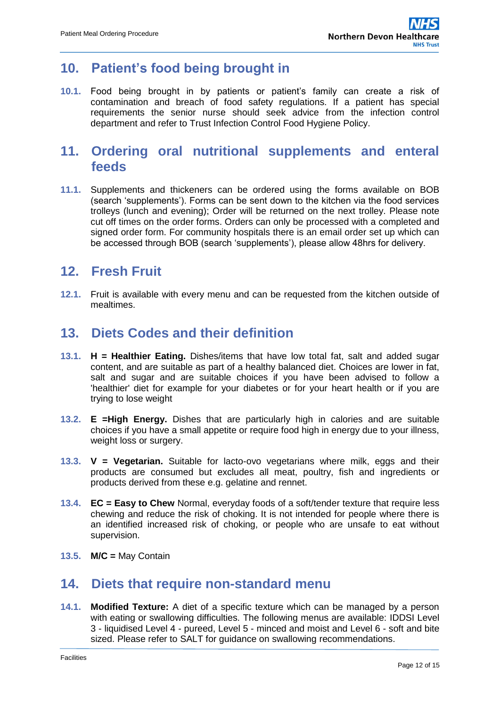#### <span id="page-11-0"></span>**10. Patient's food being brought in**

**10.1.** Food being brought in by patients or patient's family can create a risk of contamination and breach of food safety regulations. If a patient has special requirements the senior nurse should seek advice from the infection control department and refer to Trust Infection Control Food Hygiene Policy.

#### <span id="page-11-1"></span>**11. Ordering oral nutritional supplements and enteral feeds**

**11.1.** Supplements and thickeners can be ordered using the forms available on BOB (search 'supplements'). Forms can be sent down to the kitchen via the food services trolleys (lunch and evening); Order will be returned on the next trolley. Please note cut off times on the order forms. Orders can only be processed with a completed and signed order form. For community hospitals there is an email order set up which can be accessed through BOB (search 'supplements'), please allow 48hrs for delivery.

#### **12. Fresh Fruit**

**12.1.** Fruit is available with every menu and can be requested from the kitchen outside of mealtimes.

#### <span id="page-11-2"></span>**13. Diets Codes and their definition**

- **13.1. H = Healthier Eating.** Dishes/items that have low total fat, salt and added sugar content, and are suitable as part of a healthy balanced diet. Choices are lower in fat, salt and sugar and are suitable choices if you have been advised to follow a 'healthier' diet for example for your diabetes or for your heart health or if you are trying to lose weight
- **13.2. E =High Energy.** Dishes that are particularly high in calories and are suitable choices if you have a small appetite or require food high in energy due to your illness, weight loss or surgery.
- **13.3. V = Vegetarian.** Suitable for lacto-ovo vegetarians where milk, eggs and their products are consumed but excludes all meat, poultry, fish and ingredients or products derived from these e.g. gelatine and rennet.
- **13.4. EC = Easy to Chew** Normal, everyday foods of a soft/tender texture that require less chewing and reduce the risk of choking. It is not intended for people where there is an identified increased risk of choking, or people who are unsafe to eat without supervision.
- **13.5. M/C =** May Contain

#### <span id="page-11-3"></span>**14. Diets that require non-standard menu**

**14.1. Modified Texture:** A diet of a specific texture which can be managed by a person with eating or swallowing difficulties. The following menus are available: IDDSI Level 3 - liquidised Level 4 - pureed, Level 5 - minced and moist and Level 6 - soft and bite sized. Please refer to SALT for guidance on swallowing recommendations.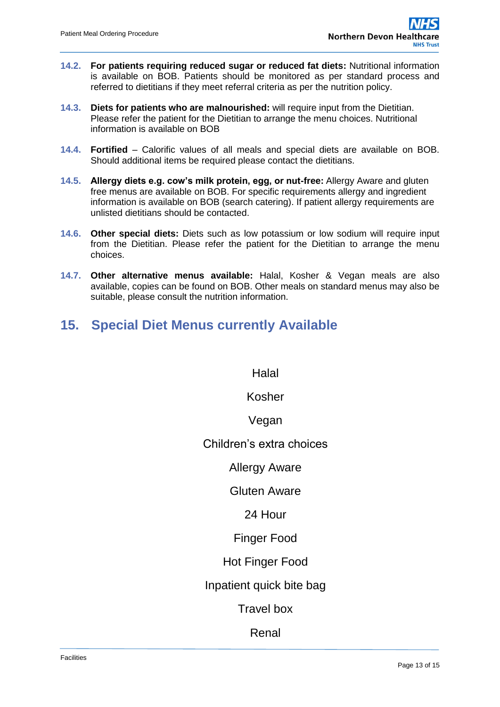- **14.2. For patients requiring reduced sugar or reduced fat diets:** Nutritional information is available on BOB. Patients should be monitored as per standard process and referred to dietitians if they meet referral criteria as per the nutrition policy.
- **14.3. Diets for patients who are malnourished:** will require input from the Dietitian. Please refer the patient for the Dietitian to arrange the menu choices. Nutritional information is available on BOB
- **14.4. Fortified** Calorific values of all meals and special diets are available on BOB. Should additional items be required please contact the dietitians.
- **14.5. Allergy diets e.g. cow's milk protein, egg, or nut-free:** Allergy Aware and gluten free menus are available on BOB. For specific requirements allergy and ingredient information is available on BOB (search catering). If patient allergy requirements are unlisted dietitians should be contacted.
- **14.6. Other special diets:** Diets such as low potassium or low sodium will require input from the Dietitian. Please refer the patient for the Dietitian to arrange the menu choices.
- **14.7. Other alternative menus available:** Halal, Kosher & Vegan meals are also available, copies can be found on BOB. Other meals on standard menus may also be suitable, please consult the nutrition information.
- <span id="page-12-0"></span>**15. Special Diet Menus currently Available**

Halal

Kosher

Vegan

Children's extra choices

Allergy Aware

Gluten Aware

24 Hour

Finger Food

Hot Finger Food

Inpatient quick bite bag

Travel box

Renal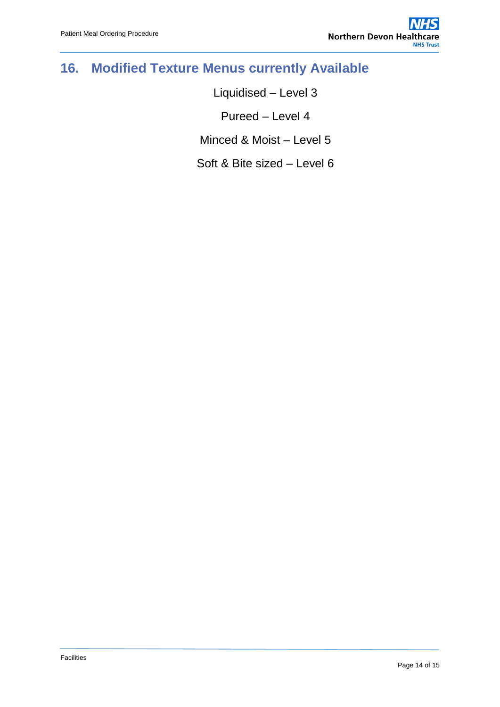# <span id="page-13-0"></span>**16. Modified Texture Menus currently Available**

Liquidised – Level 3 Pureed – Level 4 Minced & Moist – Level 5 Soft & Bite sized – Level 6